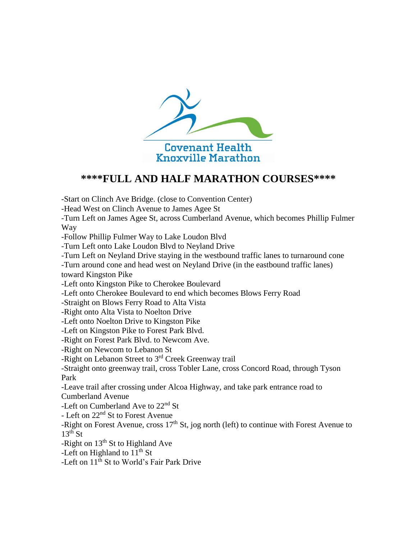

## **\*\*\*\*FULL AND HALF MARATHON COURSES\*\*\*\***

-Start on Clinch Ave Bridge. (close to Convention Center)

-Head West on Clinch Avenue to James Agee St

-Turn Left on James Agee St, across Cumberland Avenue, which becomes Phillip Fulmer Way

-Follow Phillip Fulmer Way to Lake Loudon Blvd

-Turn Left onto Lake Loudon Blvd to Neyland Drive

-Turn Left on Neyland Drive staying in the westbound traffic lanes to turnaround cone

-Turn around cone and head west on Neyland Drive (in the eastbound traffic lanes) toward Kingston Pike

-Left onto Kingston Pike to Cherokee Boulevard

-Left onto Cherokee Boulevard to end which becomes Blows Ferry Road

-Straight on Blows Ferry Road to Alta Vista

-Right onto Alta Vista to Noelton Drive

-Left onto Noelton Drive to Kingston Pike

-Left on Kingston Pike to Forest Park Blvd.

-Right on Forest Park Blvd. to Newcom Ave.

-Right on Newcom to Lebanon St

-Right on Lebanon Street to 3<sup>rd</sup> Creek Greenway trail

-Straight onto greenway trail, cross Tobler Lane, cross Concord Road, through Tyson Park

-Leave trail after crossing under Alcoa Highway, and take park entrance road to Cumberland Avenue

-Left on Cumberland Ave to 22<sup>nd</sup> St

- Left on 22<sup>nd</sup> St to Forest Avenue

-Right on Forest Avenue, cross  $17<sup>th</sup>$  St, jog north (left) to continue with Forest Avenue to  $13<sup>th</sup>$  St

-Right on  $13<sup>th</sup>$  St to Highland Ave

-Left on Highland to  $11^{th}$  St

-Left on  $11^{th}$  St to World's Fair Park Drive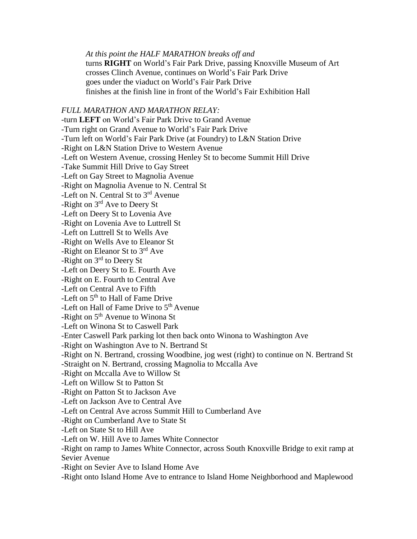*At this point the HALF MARATHON breaks off and*  turns **RIGHT** on World's Fair Park Drive, passing Knoxville Museum of Art crosses Clinch Avenue, continues on World's Fair Park Drive goes under the viaduct on World's Fair Park Drive finishes at the finish line in front of the World's Fair Exhibition Hall

## *FULL MARATHON AND MARATHON RELAY:*

*-*turn **LEFT** on World's Fair Park Drive to Grand Avenue -Turn right on Grand Avenue to World's Fair Park Drive -Turn left on World's Fair Park Drive (at Foundry) to L&N Station Drive -Right on L&N Station Drive to Western Avenue -Left on Western Avenue, crossing Henley St to become Summit Hill Drive -Take Summit Hill Drive to Gay Street -Left on Gay Street to Magnolia Avenue -Right on Magnolia Avenue to N. Central St -Left on N. Central St to  $3<sup>rd</sup>$  Avenue -Right on 3rd Ave to Deery St -Left on Deery St to Lovenia Ave -Right on Lovenia Ave to Luttrell St -Left on Luttrell St to Wells Ave -Right on Wells Ave to Eleanor St -Right on Eleanor St to 3<sup>rd</sup> Ave -Right on 3rd to Deery St -Left on Deery St to E. Fourth Ave -Right on E. Fourth to Central Ave -Left on Central Ave to Fifth -Left on 5<sup>th</sup> to Hall of Fame Drive -Left on Hall of Fame Drive to  $5<sup>th</sup>$  Avenue -Right on  $5<sup>th</sup>$  Avenue to Winona St -Left on Winona St to Caswell Park -Enter Caswell Park parking lot then back onto Winona to Washington Ave -Right on Washington Ave to N. Bertrand St -Right on N. Bertrand, crossing Woodbine, jog west (right) to continue on N. Bertrand St -Straight on N. Bertrand, crossing Magnolia to Mccalla Ave -Right on Mccalla Ave to Willow St -Left on Willow St to Patton St -Right on Patton St to Jackson Ave -Left on Jackson Ave to Central Ave -Left on Central Ave across Summit Hill to Cumberland Ave -Right on Cumberland Ave to State St -Left on State St to Hill Ave -Left on W. Hill Ave to James White Connector -Right on ramp to James White Connector, across South Knoxville Bridge to exit ramp at Sevier Avenue -Right on Sevier Ave to Island Home Ave -Right onto Island Home Ave to entrance to Island Home Neighborhood and Maplewood